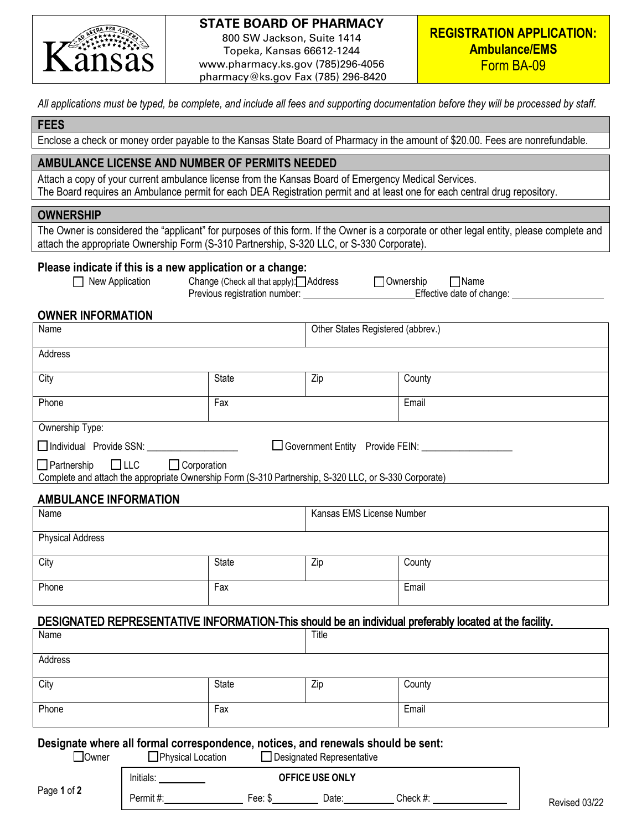

# **STATE BOARD OF PHARMACY**

800 SW Jackson, Suite 1414 Topeka, Kansas 66612-1244 www.pharmacy.ks.gov (785)296-4056 pharmacy@ks.gov Fax (785) 296-8420

*All applications must be typed, be complete, and include all fees and supporting documentation before they will be processed by staff.*

### **FEES**

Enclose a check or money order payable to the Kansas State Board of Pharmacy in the amount of \$20.00. Fees are nonrefundable.

# **AMBULANCE LICENSE AND NUMBER OF PERMITS NEEDED**

Attach a copy of your current ambulance license from the Kansas Board of Emergency Medical Services. The Board requires an Ambulance permit for each DEA Registration permit and at least one for each central drug repository.

#### **OWNERSHIP**

The Owner is considered the "applicant" for purposes of this form. If the Owner is a corporate or other legal entity, please complete and attach the appropriate Ownership Form (S-310 Partnership, S-320 LLC, or S-330 Corporate).

### **Please indicate if this is a new application or a change:**

New Application Change (Check all that apply): Address 1900 Momeship Name Previous registration number: Effective date of change:

## **OWNER INFORMATION**

| Name                                                                                                                                                         |              | Other States Registered (abbrev.) |        |  |
|--------------------------------------------------------------------------------------------------------------------------------------------------------------|--------------|-----------------------------------|--------|--|
| Address                                                                                                                                                      |              |                                   |        |  |
| City                                                                                                                                                         | <b>State</b> | Zip                               | County |  |
| Phone                                                                                                                                                        | Fax          |                                   | Email  |  |
| Ownership Type:                                                                                                                                              |              |                                   |        |  |
| Individual Provide SSN: ____<br>□ Government Entity Provide FEIN:                                                                                            |              |                                   |        |  |
| $\Box$ Partnership $\Box$ LLC<br>$\Box$ Corporation<br>Complete and attach the appropriate Ownership Form (S-310 Partnership, S-320 LLC, or S-330 Corporate) |              |                                   |        |  |

### **AMBULANCE INFORMATION**

| Name                                                                                                   |              | Kansas EMS License Number |        |  |  |
|--------------------------------------------------------------------------------------------------------|--------------|---------------------------|--------|--|--|
| <b>Physical Address</b>                                                                                |              |                           |        |  |  |
| City                                                                                                   | <b>State</b> | Zip                       | County |  |  |
| Phone                                                                                                  | Fax          |                           | Email  |  |  |
| DESIGNATED REPRESENTATIVE INFORMATION-This should be an individual preferably located at the facility. |              |                           |        |  |  |
| Name                                                                                                   |              | Title                     |        |  |  |

| Address |       |     |        |
|---------|-------|-----|--------|
|         |       |     |        |
| City    | State | Zip | County |
|         |       |     |        |
| Phone   | Fax   |     | Email  |
|         |       |     |        |

#### **Designate where all formal correspondence, notices, and renewals should be sent:**

Page **1** of **2** □ Owner □ Physical Location □ Designated Representative Initials: **OFFICE USE ONLY** Permit #: Fee: \$ Date: Check #: